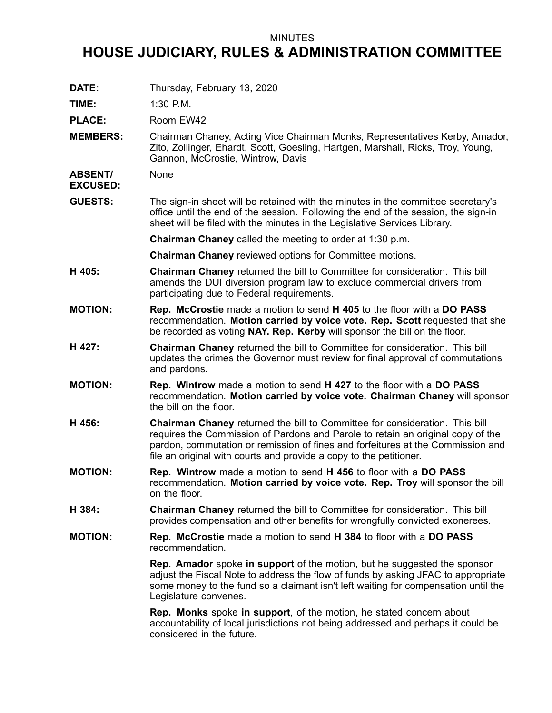## MINUTES

## **HOUSE JUDICIARY, RULES & ADMINISTRATION COMMITTEE**

**DATE:** Thursday, February 13, 2020

**TIME:** 1:30 P.M.

PLACE: Room EW42

**MEMBERS:** Chairman Chaney, Acting Vice Chairman Monks, Representatives Kerby, Amador, Zito, Zollinger, Ehardt, Scott, Goesling, Hartgen, Marshall, Ricks, Troy, Young, Gannon, McCrostie, Wintrow, Davis

**ABSENT/ EXCUSED:** None

**GUESTS:** The sign-in sheet will be retained with the minutes in the committee secretary's office until the end of the session. Following the end of the session, the sign-in sheet will be filed with the minutes in the Legislative Services Library.

**Chairman Chaney** called the meeting to order at 1:30 p.m.

- **Chairman Chaney** reviewed options for Committee motions.
- **H 405: Chairman Chaney** returned the bill to Committee for consideration. This bill amends the DUI diversion program law to exclude commercial drivers from participating due to Federal requirements.
- **MOTION: Rep. McCrostie** made <sup>a</sup> motion to send **H 405** to the floor with <sup>a</sup> **DO PASS** recommendation. **Motion carried by voice vote. Rep. Scott** requested that she be recorded as voting **NAY. Rep. Kerby** will sponsor the bill on the floor.
- **H 427: Chairman Chaney** returned the bill to Committee for consideration. This bill updates the crimes the Governor must review for final approval of commutations and pardons.
- **MOTION: Rep. Wintrow** made <sup>a</sup> motion to send **H 427** to the floor with <sup>a</sup> **DO PASS** recommendation. **Motion carried by voice vote. Chairman Chaney** will sponsor the bill on the floor.
- **H 456: Chairman Chaney** returned the bill to Committee for consideration. This bill requires the Commission of Pardons and Parole to retain an original copy of the pardon, commutation or remission of fines and forfeitures at the Commission and file an original with courts and provide <sup>a</sup> copy to the petitioner.
- **MOTION: Rep. Wintrow** made <sup>a</sup> motion to send **H 456** to floor with <sup>a</sup> **DO PASS** recommendation. **Motion carried by voice vote. Rep. Troy** will sponsor the bill on the floor.
- **H 384: Chairman Chaney** returned the bill to Committee for consideration. This bill provides compensation and other benefits for wrongfully convicted exonerees.
- **MOTION: Rep. McCrostie** made <sup>a</sup> motion to send **H 384** to floor with <sup>a</sup> **DO PASS** recommendation.

**Rep. Amador** spoke **in support** of the motion, but he suggested the sponsor adjust the Fiscal Note to address the flow of funds by asking JFAC to appropriate some money to the fund so <sup>a</sup> claimant isn't left waiting for compensation until the Legislature convenes.

**Rep. Monks** spoke **in support**, of the motion, he stated concern about accountability of local jurisdictions not being addressed and perhaps it could be considered in the future.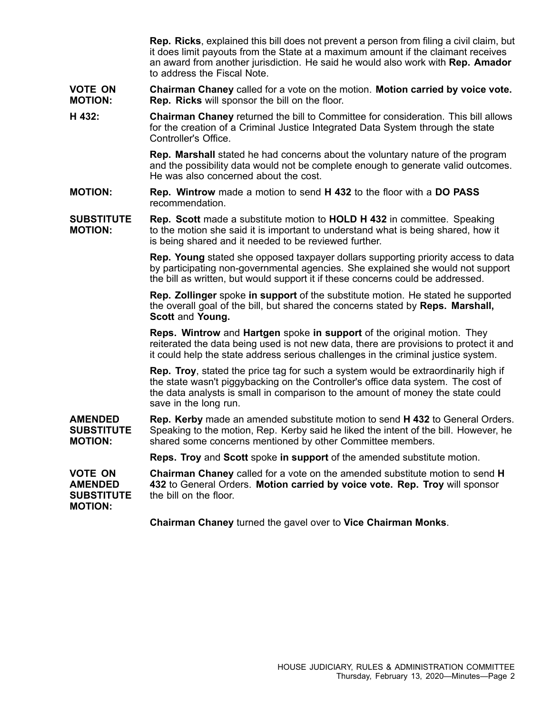**Rep. Ricks**, explained this bill does not prevent <sup>a</sup> person from filing <sup>a</sup> civil claim, but it does limit payouts from the State at <sup>a</sup> maximum amount if the claimant receives an award from another jurisdiction. He said he would also work with **Rep. Amador** to address the Fiscal Note.

**VOTE ON MOTION: Chairman Chaney** called for <sup>a</sup> vote on the motion. **Motion carried by voice vote. Rep. Ricks** will sponsor the bill on the floor.

**H 432: Chairman Chaney** returned the bill to Committee for consideration. This bill allows for the creation of <sup>a</sup> Criminal Justice Integrated Data System through the state Controller's Office.

> **Rep. Marshall** stated he had concerns about the voluntary nature of the program and the possibility data would not be complete enough to generate valid outcomes. He was also concerned about the cost.

- **MOTION: Rep. Wintrow** made <sup>a</sup> motion to send **H 432** to the floor with <sup>a</sup> **DO PASS** recommendation.
- **SUBSTITUTE MOTION: Rep. Scott** made <sup>a</sup> substitute motion to **HOLD H 432** in committee. Speaking to the motion she said it is important to understand what is being shared, how it is being shared and it needed to be reviewed further.

**Rep. Young** stated she opposed taxpayer dollars supporting priority access to data by participating non-governmental agencies. She explained she would not support the bill as written, but would support it if these concerns could be addressed.

**Rep. Zollinger** spoke **in support** of the substitute motion. He stated he supported the overall goal of the bill, but shared the concerns stated by **Reps. Marshall, Scott** and **Young.**

**Reps. Wintrow** and **Hartgen** spoke **in support** of the original motion. They reiterated the data being used is not new data, there are provisions to protect it and it could help the state address serious challenges in the criminal justice system.

**Rep. Troy**, stated the price tag for such <sup>a</sup> system would be extraordinarily high if the state wasn't piggybacking on the Controller's office data system. The cost of the data analysts is small in comparison to the amount of money the state could save in the long run.

**AMENDED SUBSTITUTE MOTION: Rep. Kerby** made an amended substitute motion to send **H 432** to General Orders. Speaking to the motion, Rep. Kerby said he liked the intent of the bill. However, he shared some concerns mentioned by other Committee members.

**Reps. Troy** and **Scott** spoke **in support** of the amended substitute motion.

**VOTE ON AMENDED SUBSTITUTE MOTION: Chairman Chaney** called for <sup>a</sup> vote on the amended substitute motion to send **H 432** to General Orders. **Motion carried by voice vote. Rep. Troy** will sponsor the bill on the floor.

**Chairman Chaney** turned the gavel over to **Vice Chairman Monks**.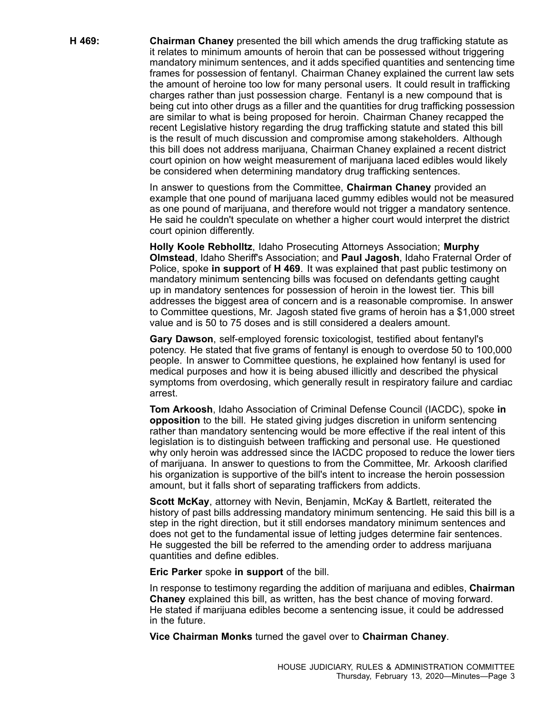**H 469: Chairman Chaney** presented the bill which amends the drug trafficking statute as it relates to minimum amounts of heroin that can be possessed without triggering mandatory minimum sentences, and it adds specified quantities and sentencing time frames for possession of fentanyl. Chairman Chaney explained the current law sets the amount of heroine too low for many personal users. It could result in trafficking charges rather than just possession charge. Fentanyl is <sup>a</sup> new compound that is being cut into other drugs as <sup>a</sup> filler and the quantities for drug trafficking possession are similar to what is being proposed for heroin. Chairman Chaney recapped the recent Legislative history regarding the drug trafficking statute and stated this bill is the result of much discussion and compromise among stakeholders. Although this bill does not address marijuana, Chairman Chaney explained <sup>a</sup> recent district court opinion on how weight measurement of marijuana laced edibles would likely be considered when determining mandatory drug trafficking sentences.

> In answer to questions from the Committee, **Chairman Chaney** provided an example that one pound of marijuana laced gummy edibles would not be measured as one pound of marijuana, and therefore would not trigger <sup>a</sup> mandatory sentence. He said he couldn't speculate on whether <sup>a</sup> higher court would interpret the district court opinion differently.

> **Holly Koole Rebholltz**, Idaho Prosecuting Attorneys Association; **Murphy Olmstead**, Idaho Sheriff's Association; and **Paul Jagosh**, Idaho Fraternal Order of Police, spoke **in support** of **H 469**. It was explained that past public testimony on mandatory minimum sentencing bills was focused on defendants getting caught up in mandatory sentences for possession of heroin in the lowest tier. This bill addresses the biggest area of concern and is <sup>a</sup> reasonable compromise. In answer to Committee questions, Mr. Jagosh stated five grams of heroin has <sup>a</sup> \$1,000 street value and is 50 to 75 doses and is still considered a dealers amount.

> **Gary Dawson**, self-employed forensic toxicologist, testified about fentanyl's potency. He stated that five grams of fentanyl is enough to overdose 50 to 100,000 people. In answer to Committee questions, he explained how fentanyl is used for medical purposes and how it is being abused illicitly and described the physical symptoms from overdosing, which generally result in respiratory failure and cardiac arrest.

> **Tom Arkoosh**, Idaho Association of Criminal Defense Council (IACDC), spoke **in opposition** to the bill. He stated giving judges discretion in uniform sentencing rather than mandatory sentencing would be more effective if the real intent of this legislation is to distinguish between trafficking and personal use. He questioned why only heroin was addressed since the IACDC proposed to reduce the lower tiers of marijuana. In answer to questions to from the Committee, Mr. Arkoosh clarified his organization is supportive of the bill's intent to increase the heroin possession amount, but it falls short of separating traffickers from addicts.

> **Scott McKay**, attorney with Nevin, Benjamin, McKay & Bartlett, reiterated the history of past bills addressing mandatory minimum sentencing. He said this bill is <sup>a</sup> step in the right direction, but it still endorses mandatory minimum sentences and does not get to the fundamental issue of letting judges determine fair sentences. He suggested the bill be referred to the amending order to address marijuana quantities and define edibles.

**Eric Parker** spoke **in support** of the bill.

In response to testimony regarding the addition of marijuana and edibles, **Chairman Chaney** explained this bill, as written, has the best chance of moving forward. He stated if marijuana edibles become <sup>a</sup> sentencing issue, it could be addressed in the future.

**Vice Chairman Monks** turned the gavel over to **Chairman Chaney**.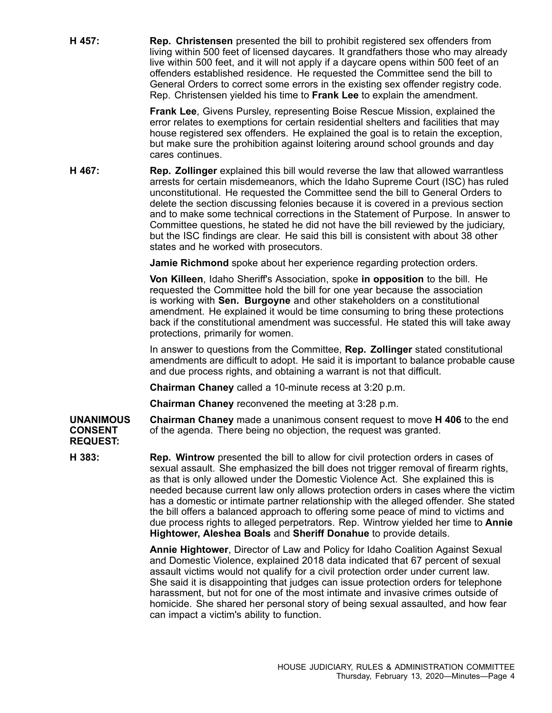**H 457: Rep. Christensen** presented the bill to prohibit registered sex offenders from living within 500 feet of licensed daycares. It grandfathers those who may already live within 500 feet, and it will not apply if <sup>a</sup> daycare opens within 500 feet of an offenders established residence. He requested the Committee send the bill to General Orders to correct some errors in the existing sex offender registry code. Rep. Christensen yielded his time to **Frank Lee** to explain the amendment.

> **Frank Lee**, Givens Pursley, representing Boise Rescue Mission, explained the error relates to exemptions for certain residential shelters and facilities that may house registered sex offenders. He explained the goal is to retain the exception, but make sure the prohibition against loitering around school grounds and day cares continues.

**H 467: Rep. Zollinger** explained this bill would reverse the law that allowed warrantless arrests for certain misdemeanors, which the Idaho Supreme Court (ISC) has ruled unconstitutional. He requested the Committee send the bill to General Orders to delete the section discussing felonies because it is covered in <sup>a</sup> previous section and to make some technical corrections in the Statement of Purpose. In answer to Committee questions, he stated he did not have the bill reviewed by the judiciary, but the ISC findings are clear. He said this bill is consistent with about 38 other states and he worked with prosecutors.

**Jamie Richmond** spoke about her experience regarding protection orders.

**Von Killeen**, Idaho Sheriff's Association, spoke **in opposition** to the bill. He requested the Committee hold the bill for one year because the association is working with **Sen. Burgoyne** and other stakeholders on <sup>a</sup> constitutional amendment. He explained it would be time consuming to bring these protections back if the constitutional amendment was successful. He stated this will take away protections, primarily for women.

In answer to questions from the Committee, **Rep. Zollinger** stated constitutional amendments are difficult to adopt. He said it is important to balance probable cause and due process rights, and obtaining <sup>a</sup> warrant is not that difficult.

**Chairman Chaney** called <sup>a</sup> 10-minute recess at 3:20 p.m.

**Chairman Chaney** reconvened the meeting at 3:28 p.m.

**UNANIMOUS CONSENT Chairman Chaney** made <sup>a</sup> unanimous consent request to move **H 406** to the end of the agenda. There being no objection, the request was granted.

**REQUEST:**

**H 383: Rep. Wintrow** presented the bill to allow for civil protection orders in cases of sexual assault. She emphasized the bill does not trigger removal of firearm rights, as that is only allowed under the Domestic Violence Act. She explained this is needed because current law only allows protection orders in cases where the victim has <sup>a</sup> domestic or intimate partner relationship with the alleged offender. She stated the bill offers <sup>a</sup> balanced approach to offering some peace of mind to victims and due process rights to alleged perpetrators. Rep. Wintrow yielded her time to **Annie Hightower, Aleshea Boals** and **Sheriff Donahue** to provide details.

> **Annie Hightower**, Director of Law and Policy for Idaho Coalition Against Sexual and Domestic Violence, explained 2018 data indicated that 67 percent of sexual assault victims would not qualify for <sup>a</sup> civil protection order under current law. She said it is disappointing that judges can issue protection orders for telephone harassment, but not for one of the most intimate and invasive crimes outside of homicide. She shared her personal story of being sexual assaulted, and how fear can impact <sup>a</sup> victim's ability to function.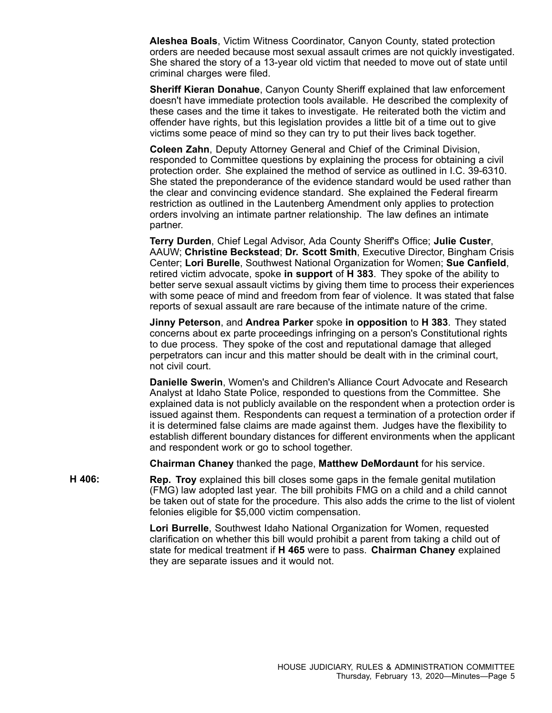**Aleshea Boals**, Victim Witness Coordinator, Canyon County, stated protection orders are needed because most sexual assault crimes are not quickly investigated. She shared the story of <sup>a</sup> 13-year old victim that needed to move out of state until criminal charges were filed.

**Sheriff Kieran Donahue**, Canyon County Sheriff explained that law enforcement doesn't have immediate protection tools available. He described the complexity of these cases and the time it takes to investigate. He reiterated both the victim and offender have rights, but this legislation provides <sup>a</sup> little bit of <sup>a</sup> time out to give victims some peace of mind so they can try to put their lives back together.

**Coleen Zahn**, Deputy Attorney General and Chief of the Criminal Division, responded to Committee questions by explaining the process for obtaining <sup>a</sup> civil protection order. She explained the method of service as outlined in I.C. 39-6310. She stated the preponderance of the evidence standard would be used rather than the clear and convincing evidence standard. She explained the Federal firearm restriction as outlined in the Lautenberg Amendment only applies to protection orders involving an intimate partner relationship. The law defines an intimate partner.

**Terry Durden**, Chief Legal Advisor, Ada County Sheriff's Office; **Julie Custer**, AAUW; **Christine Beckstead**; **Dr. Scott Smith**, Executive Director, Bingham Crisis Center; **Lori Burelle**, Southwest National Organization for Women; **Sue Canfield**, retired victim advocate, spoke **in support** of **H 383**. They spoke of the ability to better serve sexual assault victims by giving them time to process their experiences with some peace of mind and freedom from fear of violence. It was stated that false reports of sexual assault are rare because of the intimate nature of the crime.

**Jinny Peterson**, and **Andrea Parker** spoke **in opposition** to **H 383**. They stated concerns about ex parte proceedings infringing on <sup>a</sup> person's Constitutional rights to due process. They spoke of the cost and reputational damage that alleged perpetrators can incur and this matter should be dealt with in the criminal court, not civil court.

**Danielle Swerin**, Women's and Children's Alliance Court Advocate and Research Analyst at Idaho State Police, responded to questions from the Committee. She explained data is not publicly available on the respondent when <sup>a</sup> protection order is issued against them. Respondents can request <sup>a</sup> termination of <sup>a</sup> protection order if it is determined false claims are made against them. Judges have the flexibility to establish different boundary distances for different environments when the applicant and respondent work or go to school together.

**Chairman Chaney** thanked the page, **Matthew DeMordaunt** for his service.

**H 406: Rep. Troy** explained this bill closes some gaps in the female genital mutilation (FMG) law adopted last year. The bill prohibits FMG on <sup>a</sup> child and <sup>a</sup> child cannot be taken out of state for the procedure. This also adds the crime to the list of violent felonies eligible for \$5,000 victim compensation.

> **Lori Burrelle**, Southwest Idaho National Organization for Women, requested clarification on whether this bill would prohibit <sup>a</sup> parent from taking <sup>a</sup> child out of state for medical treatment if **H 465** were to pass. **Chairman Chaney** explained they are separate issues and it would not.